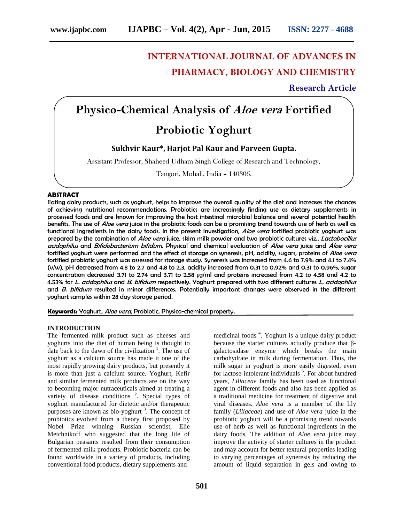# **INTERNATIONAL JOURNAL OF ADVANCES IN PHARMACY, BIOLOGY AND CHEMISTRY**

# **Research Article**

# **Physico-Chemical Analysis of** *Aloe vera* **Fortified**

# **Probiotic Yoghurt**

# **Sukhvir Kaur\*, Harjot Pal Kaur and Parveen Gupta.**

Assistant Professor, Shaheed Udham Singh College of Research and Technology,

Tangori, Mohali, India – 140306. .

# **ABSTRACT**

Eating dairy products, such as yoghurt, helps to improve the overall quality of the diet and increases the chances of achieving nutritional recommendations. Probiotics are increasingly finding use as dietary supplements in processed foods and are known for improving the host intestinal microbial balance and several potential health benefits. The use of *Aloe vera* juice in the probiotic foods can be a promising trend towards use of herb as well as functional ingredients in the dairy foods. In the present investigation, *Aloe vera* fortified probiotic yoghurt was prepared by the combination of *Aloe vera* juice, skim milk powder and two probiotic cultures viz., *Lactobacillus acidophilus* and *Bifidobacterium bifidum*. Physical and chemical evaluation of *Aloe vera* juice and *Aloe vera* fortified yoghurt were performed and the effect of storage on syneresis, pH, acidity, sugars, proteins of *Aloe vera* fortified probiotic yoghurt was assessed for storage study. Syneresis was increased from 4.6 to 7.9% and 4.1 to 7.4%  $(v/w)$ , pH decreased from 4.8 to 2.7 and 4.8 to 2.3, acidity increased from 0.31 to 0.92% and 0.31 to 0.96%, sugar concentration decreased 3.71 to 2.74 and 3.71 to 2.58 μg/ml and proteins increased from 4.2 to 4.58 and 4.2 to 4.53% for *L. acidophilus* and *B. bifidum* respectively. Yoghurt prepared with two different cultures *L. acidophilus* and *B. bifidum* resulted in minor differences. Potentially important changes were observed in the different yoghurt samples within 28 day storage period.

**Keywords:** Yoghurt, *Aloe vera*, Probiotic, Physico-chemical property.

# **INTRODUCTION**

The fermented milk product such as cheeses and yoghurts into the diet of human being is thought to date back to the dawn of the civilization  $\frac{1}{1}$ . The use of yoghurt as a calcium source has made it one of the most rapidly growing dairy products, but presently it is more than just a calcium source. Yoghurt, Kefir and similar fermented milk products are on the way to becoming major nutraceuticals aimed at treating a variety of disease conditions  $2$ . Special types of yoghurt manufactured for dietetic and/or therapeutic purposes are known as bio-yoghurt<sup>3</sup>. The concept of probiotics evolved from a theory first proposed by Nobel Prize winning Russian scientist, Elie Metchnikoff who suggested that the long life of Bulgarian peasants resulted from their consumption of fermented milk products. Probiotic bacteria can be found worldwide in a variety of products, including conventional food products, dietary supplements and

medicinal foods<sup>4</sup>. Yoghurt is a unique dairy product because the starter cultures actually produce that galactosidase enzyme which breaks the main carbohydrate in milk during fermentation. Thus, the milk sugar in yoghurt is more easily digested, even for lactose-intolerant individuals <sup>5</sup>. For about hundred years, *Liliaceae* family has been used as functional agent in different foods and also has been applied as a traditional medicine for treatment of digestive and viral diseases. *Aloe vera* is a member of the lily family (*Liliaceae*) and use of *Aloe vera* juice in the probiotic yoghurt will be a promising trend towards use of herb as well as functional ingredients in the dairy foods. The addition of *Aloe vera* juice may improve the activity of starter cultures in the product and may account for better textural properties leading to varying percentages of syneresis by reducing the amount of liquid separation in gels and owing to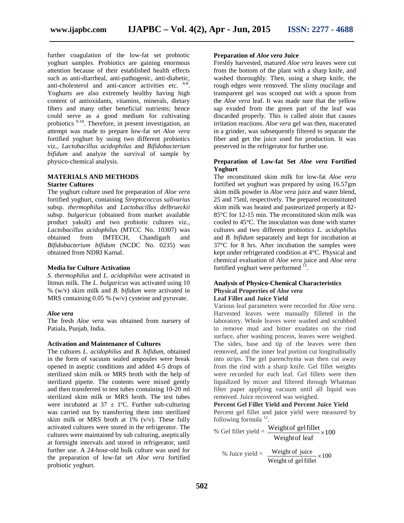further coagulation of the low-fat set probiotic yoghurt samples. Probiotics are gaining enormous attention because of their established health effects such as anti-diarrheal, anti-pathogenic, anti-diabetic, anti-cholesterol and anti-cancer activities etc. <sup>6-8</sup>. Yoghurts are also extremely healthy having high content of antioxidants, vitamins, minerals, dietary fibers and many other beneficial nutrients; hence could serve as a good medium for cultivating probiotics 9-10. Therefore, in present investigation, an attempt was made to prepare low-fat set *Aloe vera* fortified yoghurt by using two different probiotics viz., *Lactobacillus acidophilus* and *Bifidobacterium bifidum* and analyze the survival of sample by physico-chemical analysis.

# **MATERIALS AND METHODS**

#### **Starter Cultures**

The yoghurt culture used for preparation of *Aloe vera* fortified yoghurt, containing *Streptococcus salivarius* subsp. *thermophilus* and *Lactobacillus delbrueckii* subsp. *bulgaricus* (obtained from market available product yakult) and two probiotic cultures viz*., Lactobacillus acidophilu*s (MTCC No. 10307) was obtained from IMTECH, Chandigarh and *Bifidobacterium bifidum* (NCDC No. 0235) was obtained from NDRI Karnal.

#### **Media for Culture Activation**

*S. thermophilus* and *L. acidophilus* were activated in litmus milk. The *L. bulgaricus* was activated using 10 % (w/v) skim milk and *B. bifidum* were activated in MRS containing 0.05 % (w/v) cysteine and pyruvate.

#### *Aloe vera*

The fresh *Aloe vera* was obtained from nursery of Patiala, Punjab, India.

#### **Activation and Maintenance of Cultures**

The cultures *L. acidophilus* and *B. bifidum*, obtained in the form of vacuum sealed ampoules were break opened in aseptic conditions and added 4-5 drops of sterilized skim milk or MRS broth with the help of sterilized pipette. The contents were mixed gently and then transferred to test tubes containing 10-20 ml sterilized skim milk or MRS broth. The test tubes were incubated at  $37 \pm 1$ °C. Further sub-culturing was carried out by transferring them into sterilized skim milk or MRS broth at  $1\%$  (v/v). These fully activated cultures were stored in the refrigerator. The cultures were maintained by sub culturing, aseptically at fortnight intervals and stored in refrigerator, until further use. A 24-hour-old bulk culture was used for the preparation of low-fat set *Aloe vera* fortified probiotic yoghurt.

#### **Preparation of** *Aloe vera* **Juice**

Freshly harvested, matured *Aloe vera* leaves were cut from the bottom of the plant with a sharp knife, and washed thoroughly. Then, using a sharp knife, the rough edges were removed. The slimy mucilage and transparent gel was scooped out with a spoon from the *Aloe vera* leaf. It was made sure that the yellow sap exuded from the green part of the leaf was discarded properly. This is called aloin that causes irritation reactions. *Aloe vera* gel was then, macerated in a grinder, was subsequently filtered to separate the fiber and get the juice used for production. It was preserved in the refrigerator for further use.

# **Preparation of Low-fat Set** *Aloe vera* **Fortified Yoghurt**

The reconstituted skim milk for low-fat *Aloe vera* fortified set yoghurt was prepared by using 16.57gm skim milk powder in *Aloe vera* juice and water blend, 25 and 75ml, respectively. The prepared reconstituted skim milk was heated and pasteurized properly at 82- 85°C for 12-15 min. The reconstituted skim milk was cooled to 45°C. The inoculation was done with starter cultures and two different probiotics *L. acidophilus* and *B. bifidum* separately and kept for incubation at 37°C for 8 hrs. After incubation the samples were kept under refrigerated condition at 4°C. Physical and chemical evaluation of *Aloe vera* juice and *Aloe vera* fortified yoghurt were performed  $11$ . .

# **Analysis of Physico-Chemical Characteristics Physical Properties of** *Aloe vera* **Leaf Fillet and Juice Yield**

Various leaf parameters were recorded for *Aloe vera*. Harvested leaves were manually filleted in the laboratory. Whole leaves were washed and scrubbed to remove mud and bitter exudates on the rind surface, after washing process, leaves were weighed. The sides, base and tip of the leaves were then removed, and the inner leaf portion cut longitudinally into strips. The gel parenchyma was then cut away from the rind with a sharp knife. Gel fillet weights were recorded for each leaf. Gel fillets were then liquidized by mixer and filtered through Whatman filter paper applying vacuum until all liquid was removed. Juice recovered was weighed.

#### **Percent Gel Fillet Yield and Percent Juice Yield**

Percent gel fillet and juice yield were measured by following formula  $^{12}$ .

\n- % Gel fillet yield = 
$$
\frac{\text{Weight of gel fillet}}{\text{Weight of leaf}} \times 100
$$
\n- % Juice yield =  $\frac{\text{Weight of juice}}{\text{Weight of juice}} \times 100$
\n

% Juice yield =  $\frac{\text{weight of juice}}{\text{length of water}} \times 100$ Weight of gel fillet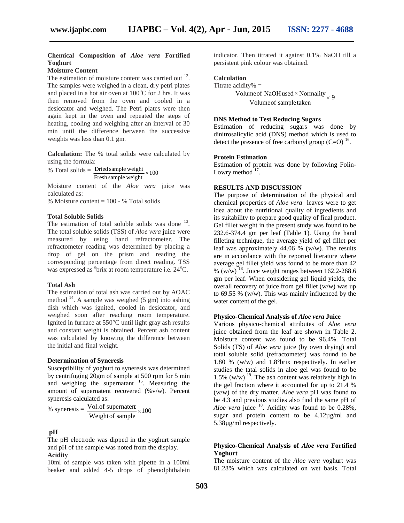# **Chemical Composition of** *Aloe vera* **Fortified Yoghurt**

# **Moisture Content**

The estimation of moisture content was carried out  $13$ . The samples were weighed in a clean, dry petri plates and placed in a hot air oven at  $100^{\circ}$ C for 2 hrs. It was then removed from the oven and cooled in a desiccator and weighed. The Petri plates were then again kept in the oven and repeated the steps of heating, cooling and weighing after an interval of 30 min until the difference between the successive weights was less than 0.1 gm.

**Calculation:** The % total solids were calculated by using the formula:

% Total solids =  $\frac{\text{Dried sample weight}}{\text{100}} \times 100$  Lowry method  $\frac{17}{100}$ . Fresh sample weight

Moisture content of the *Aloe vera* juice was calculated as:

% Moisture content = 100 - % Total solids

# **Total Soluble Solids**

The estimation of total soluble solids was done  $13$ . The total soluble solids (TSS) of *Aloe vera* juice were measured by using hand refractometer. The refractometer reading was determined by placing a drop of gel on the prism and reading the corresponding percentage from direct reading. TSS was expressed as <sup>o</sup>brix at room temperature i.e. 24<sup>o</sup>C.

#### **Total Ash**

The estimation of total ash was carried out by AOAC method  $^{14}$ . A sample was weighed (5 gm) into ashing dish which was ignited, cooled in desiccator, and weighed soon after reaching room temperature. Ignited in furnace at 550°C until light gray ash results and constant weight is obtained. Percent ash content was calculated by knowing the difference between the initial and final weight.

# **Determination of Syneresis**

Susceptibility of yoghurt to syneresis was determined by centrifuging 20gm of sample at 500 rpm for 5 min and weighing the supernatant  $15$ . Measuring the amount of supernatent recovered (%v/w). Percent syneresis calculated as:

% syneresis =  $\frac{\text{Vol.01 supplement}}{\text{Weight of sample}} \times 100$  Aloe vera juice  $\degree$ . Ac Vol.of supernatent  $\times 100$  Aloe vera juice <sup>18</sup>. Act

# **pH**

The pH electrode was dipped in the yoghurt sample and pH of the sample was noted from the display. **Acidity**

10ml of sample was taken with pipette in a 100ml beaker and added 4-5 drops of phenolphthalein indicator. Then titrated it against 0.1% NaOH till a persistent pink colour was obtained.

# **Calculation**

$$
Titrate\ acidity\% =
$$

9 Volumeof sample taken Volume of NaOH used  $\times$  Normality  $\rightarrow$  9

# **DNS Method to Test Reducing Sugars**

Estimation of reducing sugars was done by dinitrosalicylic acid (DNS) method which is used to detect the presence of free carbonyl group  $(C=O)$  <sup>16</sup>.

# **Protein Estimation**

Estimation of protein was done by following Folin- Lowry method  $17$ .

# **RESULTS AND DISCUSSION**

The purpose of determination of the physical and chemical properties of *Aloe vera* leaves were to get idea about the nutritional quality of ingredients and its suitability to prepare good quality of final product. Gel fillet weight in the present study was found to be 232.6-374.4 gm per leaf (Table 1). Using the hand filleting technique, the average yield of gel fillet per leaf was approximately 44.06 % (w/w). The results are in accordance with the reported literature where average gel fillet yield was found to be more than 42 %  $(w/w)^{18}$ . Juice weight ranges between 162.2-268.6 gm per leaf. When considering gel liquid yields, the overall recovery of juice from gel fillet (w/w) was up to 69.55 % (w/w). This was mainly influenced by the water content of the gel.

# **Physico-Chemical Analysis of** *Aloe vera* **Juice**

Various physico-chemical attributes of *Aloe vera* juice obtained from the leaf are shown in Table 2. Moisture content was found to be 96.4%. Total Solids (TS) of *Aloe vera* juice (by oven drying) and total soluble solid (refractometer) was found to be 1.80 % (w/w) and 1.8°brix respectively. In earlier studies the tatal solids in aloe gel was found to be 1.5% (w/w)  $^{19}$ . The ash content was relatively high in the gel fraction where it accounted for up to 21.4 % (w/w) of the dry matter. *Aloe vera* pH was found to be 4.3 and previous studies also find the same pH of Aloe vera juice <sup>18</sup>. Acidity was found to be 0.28%, sugar and protein content to be 4.12µg/ml and 5.38µg/ml respectively.

# **Physico-Chemical Analysis of** *Aloe vera* **Fortified Yoghurt**

The moisture content of the *Aloe vera* yoghurt was 81.28% which was calculated on wet basis. Total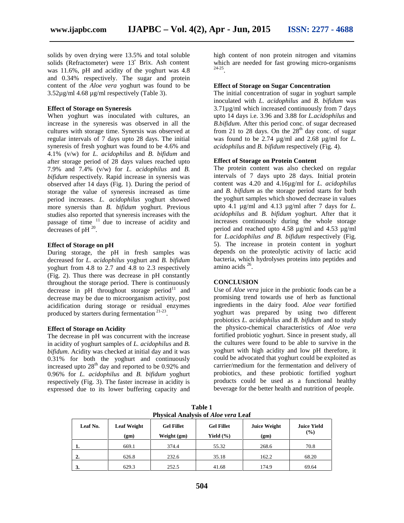solids by oven drying were 13.5% and total soluble solids (Refractometer) were 13˚ Brix. Ash content was 11.6%, pH and acidity of the yoghurt was 4.8 and 0.34% respectively. The sugar and protein content of the *Aloe vera* yoghurt was found to be 3.52µg/ml 4.68 µg/ml respectively (Table 3).

# **Effect of Storage on Syneresis**

When yoghurt was inoculated with cultures, an increase in the syneresis was observed in all the cultures with storage time. Synersis was observed at regular intervals of 7 days upto 28 days. The initial syneresis of fresh yoghurt was found to be 4.6% and 4.1% (v/w) for *L. acidophilus* and *B. bifidum* and after storage period of 28 days values reached upto 7.9% and 7.4% (v/w) for *L. acidophilus* and *B. bifidum* respectively. Rapid increase in synersis was observed after 14 days (Fig. 1). During the period of storage the value of syneresis increased as time period increases. *L. acidophilus* yoghurt showed more synersis than *B. bifidum* yoghurt. Previous studies also reported that syneresis increases with the passage of time  $11$  due to increase of acidity and decreases of  $pH^{20}$ .

#### **Effect of Storage on pH**

During storage, the pH in fresh samples was decreased for *L. acidophilus* yoghurt and *B. bifidum* yoghurt from 4.8 to 2.7 and 4.8 to 2.3 respectively (Fig. 2). Thus there was decrease in pH constantly throughout the storage period. There is continuously decrease in pH throughout storage period $11$  and decrease may be due to microorganism activity, post acidification during storage or residual enzymes produced by starters during fermentation<sup>21-23</sup>.

#### **Effect of Storage on Acidity**

The decrease in pH was concurrent with the increase in acidity of yoghurt samples of *L. acidophilus* and *B. bifidum*. Acidity was checked at initial day and it was 0.31% for both the yoghurt and continuously increased upto  $28<sup>th</sup>$  day and reported to be 0.92% and 0.96% for *L. acidophilus* and *B. bifidum* yoghurt respectively (Fig. 3). The faster increase in acidity is expressed due to its lower buffering capacity and high content of non protein nitrogen and vitamins which are needed for fast growing micro-organisms 24-25 .

#### **Effect of Storage on Sugar Concentration**

The initial concentration of sugar in yoghurt sample inoculated with *L. acidophilus* and *B. bifidum* was 3.71µg/ml which increased continuously from 7 days upto 14 days i.e. 3.96 and 3.88 for *L.acidophilus* and *B.bifidum*. After this period conc. of sugar decreased from 21 to 28 days. On the  $28<sup>th</sup>$  day conc. of sugar was found to be 2.74 µg/ml and 2.68 µg/ml for *L. acidophilus* and *B. bifidum* respectively (Fig. 4).

# **Effect of Storage on Protein Content**

The protein content was also checked on regular intervals of 7 days upto 28 days. Initial protein content was 4.20 and 4.16µg/ml for *L. acidophilus* and *B. bifidum* as the storage period starts for both the yoghurt samples which showed decrease in values upto 4.1 µg/ml and 4.13 µg/ml after 7 days for *L. acidophilus* and *B. bifidum* yoghurt. After that it increases continuously during the whole storage period and reached upto 4.58 µg/ml and 4.53 µg/ml for *L.acidophilus and B. bifidum* respectively (Fig. 5). The increase in protein content in yoghurt depends on the proteolytic activity of lactic acid bacteria, which hydrolyses proteins into peptides and amino acids <sup>26</sup>.

#### **CONCLUSION**

Use of *Aloe vera* juice in the probiotic foods can be a promising trend towards use of herb as functional ingredients in the dairy food. *Aloe vear* fortified yoghurt was prepared by using two different probiotics *L. acidophilus* and *B. bifidum* and to study the physico-chemical characteristics of *Aloe vera* fortified probiotic yoghurt. Since in present study, all the cultures were found to be able to survive in the yoghurt with high acidity and low pH therefore, it could be advocated that yoghurt could be exploited as carrier/medium for the fermentation and delivery of probiotics, and these probiotic fortified yoghurt products could be used as a functional healthy beverage for the better health and nutrition of people.

| <b>Physical Analysis of Aloe vera Leaf</b> |                            |                                  |                                    |                             |                              |  |  |
|--------------------------------------------|----------------------------|----------------------------------|------------------------------------|-----------------------------|------------------------------|--|--|
| Leaf No.                                   | <b>Leaf Weight</b><br>(gm) | <b>Gel Fillet</b><br>Weight (gm) | <b>Gel Fillet</b><br>Yield $(\% )$ | <b>Juice Weight</b><br>(gm) | <b>Juice Yield</b><br>$(\%)$ |  |  |
|                                            | 669.1                      | 374.4                            | 55.32                              | 268.6                       | 70.8                         |  |  |
| $\overline{2}$                             | 626.8                      | 232.6                            | 35.18                              | 162.2                       | 68.20                        |  |  |
| 3.                                         | 629.3                      | 252.5                            | 41.68                              | 174.9                       | 69.64                        |  |  |

**Table 1**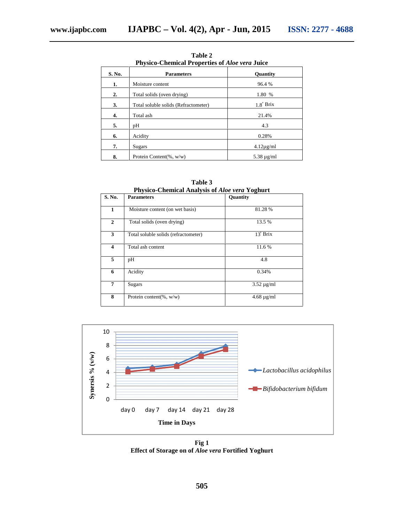| <b>Physico-Chemical Properties of Aloe vera Juice</b> |                                      |                  |  |  |  |
|-------------------------------------------------------|--------------------------------------|------------------|--|--|--|
| S. No.                                                | <b>Parameters</b>                    | <b>Ouantity</b>  |  |  |  |
| 1.                                                    | Moisture content                     | 96.4 %           |  |  |  |
| 2.                                                    | Total solids (oven drying)           | 1.80 %           |  |  |  |
| 3.                                                    | Total soluble solids (Refractometer) | $1.8^\circ$ Brix |  |  |  |
| 4.                                                    | Total ash                            | 21.4%            |  |  |  |
| 5.                                                    | pH                                   | 4.3              |  |  |  |
| 6.                                                    | Acidity                              | 0.28%            |  |  |  |
| 7.                                                    | Sugars                               | $4.12\mu$ g/ml   |  |  |  |
| 8.                                                    | Protein Content(%, $w/w$ )           | $5.38 \mu$ g/ml  |  |  |  |

**Table 2**

| Physico-Chemical Analysis of <i>Aloe vera</i> Yoghurt |                                      |                   |  |  |  |  |
|-------------------------------------------------------|--------------------------------------|-------------------|--|--|--|--|
| S. No.                                                | <b>Parameters</b>                    | Quantity          |  |  |  |  |
|                                                       |                                      |                   |  |  |  |  |
| 1                                                     | Moisture content (on wet basis)      | 81.28%            |  |  |  |  |
|                                                       |                                      |                   |  |  |  |  |
| $\mathbf{2}$                                          | Total solids (oven drying)           | 13.5 %            |  |  |  |  |
|                                                       |                                      |                   |  |  |  |  |
| 3                                                     | Total soluble solids (refractometer) | $13^{\circ}$ Brix |  |  |  |  |
|                                                       |                                      |                   |  |  |  |  |
| $\overline{\mathbf{4}}$                               | Total ash content                    | 11.6 %            |  |  |  |  |
|                                                       |                                      |                   |  |  |  |  |
| 5                                                     | pH                                   | 4.8               |  |  |  |  |
|                                                       |                                      |                   |  |  |  |  |
| 6                                                     | Acidity                              | 0.34%             |  |  |  |  |
|                                                       |                                      |                   |  |  |  |  |
| 7                                                     | Sugars                               | $3.52 \mu g/ml$   |  |  |  |  |
|                                                       |                                      |                   |  |  |  |  |
| 8                                                     | Protein content(%, $w/w$ )           | $4.68 \mu g/ml$   |  |  |  |  |
|                                                       |                                      |                   |  |  |  |  |

**Table 3**



**Fig 1 Effect of Storage on of** *Aloe vera* **Fortified Yoghurt**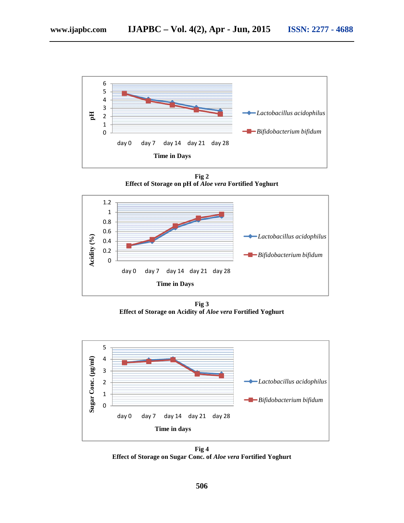

**Fig 2 Effect of Storage on pH of** *Aloe vera* **Fortified Yoghurt**



**Fig 3 Effect of Storage on Acidity of** *Aloe vera* **Fortified Yoghurt**



**Fig 4 Effect of Storage on Sugar Conc. of** *Aloe vera* **Fortified Yoghurt**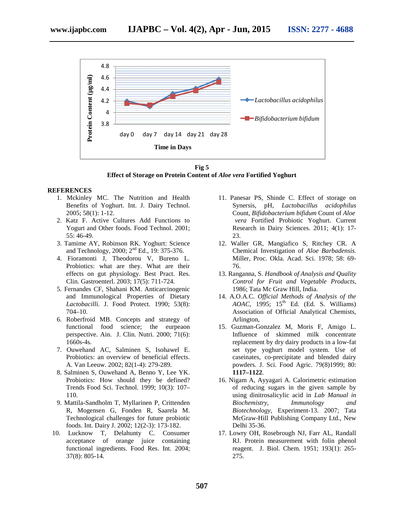

**Fig 5 Effect of Storage on Protein Content of** *Aloe vera* **Fortified Yoghurt**

#### **REFERENCES**

- 1. Mckinley MC. The Nutrition and Health Benefits of Yoghurt. Int. J. Dairy Technol. 2005; 58(1): 1-12.
- 2. Katz F. Active Cultures Add Functions to Yogurt and Other foods. Food Technol. 2001; 55: 46-49.
- 3. Tamime AY, Robinson RK. Yoghurt: Science and Technology, 2000; 2<sup>nd</sup> Ed., 19: 375-376.
- 4. Fioramonti J, Theodorou V, Bureno L. Probiotics: what are they. What are their effects on gut physiology. Best Pract. Res. Clin. Gastroenterl. 2003; 17(5): 711-724.
- 5. Fernandes CF, Shahani KM. Anticarcinogenic and Immunological Properties of Dietary *Lactobacilli.* J. Food Protect. 1990; 53(8): 704–10.
- 6. Roberfroid MB. Concepts and strategy of functional food science; the eurpeaon perspective. Ain. J. Clin. Nutri. 2000; 71(6): 1660s-4s.
- 7. Ouwehand AC, Salminen S, Isohawel E. Probiotics: an overview of beneficial effects. A. Van Leeuw. 2002; 82(1-4): 279-289.
- 8. Salminen S, Ouwehand A, Benno Y, Lee YK. Probiotics: How should they be defined? Trends Food Sci. Technol. 1999; 10(3): 107– 110.
- 9. Mattila-Sandholm T, Myllarinen P, Crittenden R, Mogensen G, Fonden R, Saarela M. Technological challenges for future probiotic foods. Int. Dairy J. 2002; 12(2-3): 173-182.
- 10. Lucknow T, Delahunty C. Consumer acceptance of orange juice containing functional ingredients. Food Res. Int. 2004; 37(8): 805-14.
- 11. Panesar PS, Shinde C. Effect of storage on Synersis, pH, *Lactobacillus acidophilus* Count, *Bifidobacterium bifidum* Count of *Aloe vera* Fortified Probiotic Yoghurt. Current Research in Dairy Sciences. 2011; 4(1): 17- 23.
- 12. Waller GR, Mangiafico S, Ritchey CR. A Chemical Investigation of *Aloe Barbadensis.* Miller, Proc. Okla. Acad. Sci. 1978; 58: 69- 76.
- 13. Ranganna, S. *Handbook of Analysis and Quality Control for Fruit and Vegetable Products*, 1986; Tata Mc Graw Hill, India.
- 14. A.O.A.C. *Official Methods of Analysis of the AOAC*, 1995; 15<sup>th</sup> Ed. (Ed. S. Williams) Association of Official Analytical Chemists, Arlington,
- 15. Guzman-Gonzalez M, Moris F, Amigo L. Influence of skimmed milk concentrate replacement by dry dairy products in a low-fat set type yoghurt model system. Use of caseinates, co-precipitate and blended dairy powders. J. Sci. Food Agric. 79(8)1999; 80: **1117–1122**.
- 16. Nigam A, Ayyagari A. Calorimetric estimation of reducing sugars in the given sample by using dinitrosalicylic acid in *Lab Manual in Biochemistry, Immunology and Biotechnology,* Experiment-13. 2007; Tata McGraw-Hill Publishing Company Ltd., New Delhi 35-36.
- 17. Lowry OH, Rosebrough NJ, Farr AL, Randall RJ. Protein measurement with folin phenol reagent. J. Biol. Chem. 1951; 193(1): 265- 275.